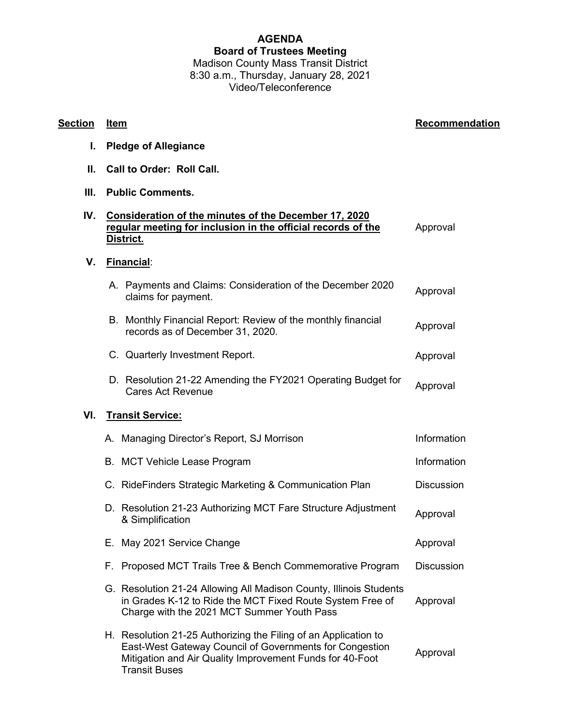## **AGENDA Board of Trustees Meeting** Madison County Mass Transit District

8:30 a.m., Thursday, January 28, 2021 Video/Teleconference

| I.  | <b>Pledge of Allegiance</b>                                                                                                                                                                                    |                   |
|-----|----------------------------------------------------------------------------------------------------------------------------------------------------------------------------------------------------------------|-------------------|
| Ш.  | Call to Order: Roll Call.                                                                                                                                                                                      |                   |
| Ш.  | <b>Public Comments.</b>                                                                                                                                                                                        |                   |
| IV. | Consideration of the minutes of the December 17, 2020<br>regular meeting for inclusion in the official records of the<br>District.                                                                             | Approval          |
| V.  | Financial:                                                                                                                                                                                                     |                   |
|     | A. Payments and Claims: Consideration of the December 2020<br>claims for payment.                                                                                                                              | Approval          |
|     | B. Monthly Financial Report: Review of the monthly financial<br>records as of December 31, 2020.                                                                                                               | Approval          |
|     | C. Quarterly Investment Report.                                                                                                                                                                                | Approval          |
|     | D. Resolution 21-22 Amending the FY2021 Operating Budget for<br><b>Cares Act Revenue</b>                                                                                                                       | Approval          |
| VI. | <b>Transit Service:</b>                                                                                                                                                                                        |                   |
|     | A. Managing Director's Report, SJ Morrison                                                                                                                                                                     | Information       |
|     | B. MCT Vehicle Lease Program                                                                                                                                                                                   | Information       |
|     | C. RideFinders Strategic Marketing & Communication Plan                                                                                                                                                        | <b>Discussion</b> |
|     | D. Resolution 21-23 Authorizing MCT Fare Structure Adjustment<br>& Simplification                                                                                                                              | Approval          |
|     | E. May 2021 Service Change                                                                                                                                                                                     | Approval          |
|     | F. Proposed MCT Trails Tree & Bench Commemorative Program                                                                                                                                                      | <b>Discussion</b> |
|     | G. Resolution 21-24 Allowing All Madison County, Illinois Students<br>in Grades K-12 to Ride the MCT Fixed Route System Free of<br>Charge with the 2021 MCT Summer Youth Pass                                  | Approval          |
|     | H. Resolution 21-25 Authorizing the Filing of an Application to<br>East-West Gateway Council of Governments for Congestion<br>Mitigation and Air Quality Improvement Funds for 40-Foot<br><b>Transit Buses</b> | Approval          |

## **Section Item Recommendation**